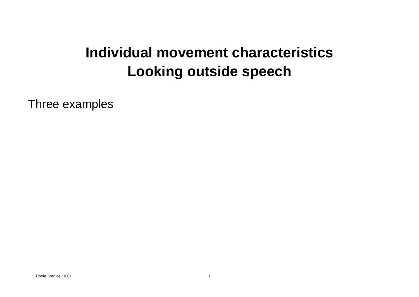## **Individual movement characteristicsLooking outside speech**

Three examples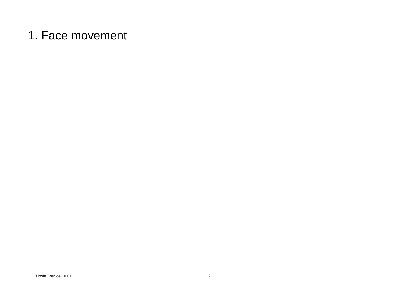## 1. Face movement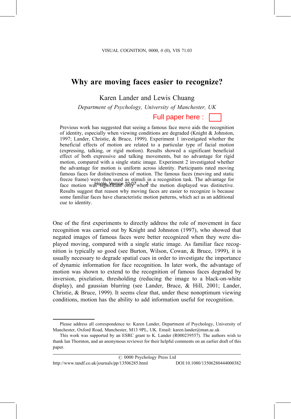## Why are moving faces easier to recognize?

Karen Lander and Lewis Chuang

Department of Psychology, University of Manchester, UK

Full paper here:

Previous work has suggested that seeing a famous face move aids the recognition of identity, especially when viewing conditions are degraded (Knight & Johnston, 1997; Lander, Christie, & Bruce, 1999). Experiment 1 investigated whether the beneficial effects of motion are related to a particular type of facial motion (expressing, talking, or rigid motion). Results showed a significant beneficial effect of both expressive and talking movements, but no advantage for rigid motion, compared with a single static image. Experiment 2 investigated whether the advantage for motion is uniform across identity. Participants rated moving famous faces for distinctiveness of motion. The famous faces (moving and static freeze frame) were then used as stimuli in a recognition task. The advantage for face motion was 99 for the and  $\frac{1}{2}$  when the motion displayed was distinctive. Results suggest that reason why moving faces are easier to recognize is because some familiar faces have characteristic motion patterns, which act as an additional cue to identity.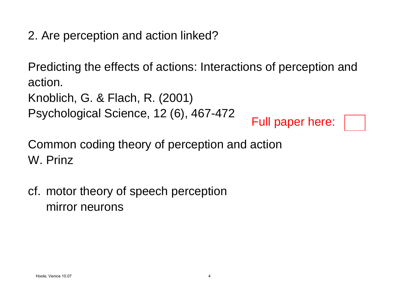2. Are perception and action linked?

Predicting the effects of actions: Interactions of perception and action.

```
Knoblich, G. & Flach, R. (2001)
```
Psychological Science, 12 (6), 467-472

Common coding theory of perception and action W. Prinz $H = \text{Full paper here:}$ <br>
common coding theory of perception and action<br>
V. Prinz<br>
Full paper here:<br>
A Frinz<br>
Full paper here:<br>
A Frinz<br>
Full paper here:<br>
A Frinz<br>
Full paper here:<br>
A Frinz<br>
Full paper here:<br>
A Frinz<br>
Full paper here

cf. motor theory of speech perception mirror neurons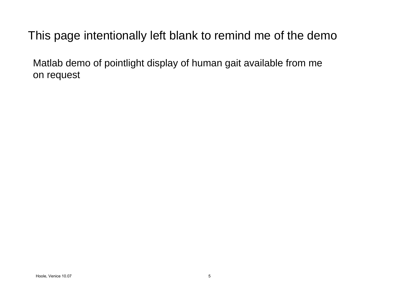## This page intentionally left blank to remind me of the demo

Matlab demo of pointlight display of human gait available from me<br>on request<br>h<sup>took</sup> venice 10.07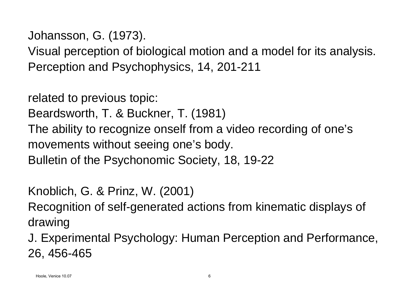Johansson, G. (1973).

Visual perception of biological motion and a model for its analysis. Perception and Psychophysics, 14, 201-211

related to previous topic: Beardsworth, T. & Buckner, T. (1981) The ability to recognize onself from a video recording of one's movements without seeing one's body. Bulletin of the Psychonomic Society, 18, 19-22

Knoblich, G. & Prinz, W. (2001)

Recognition of self-generated actions from kinematic displays of drawing

J. Experimental Psychology: Human Perception and Performance, 26, 456-465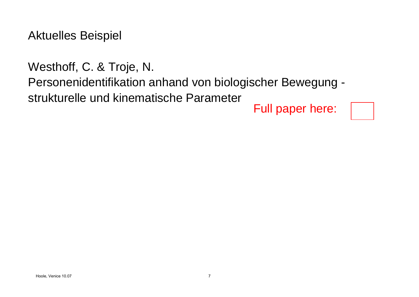Aktuelles Beispiel

Westhoff, C. & Troje, N.

Personenidentifikation anhand von biologischer Bewegung -

strukturelle und kinematische Parameter

Hoole, Venice 10.07 <sup>7</sup> Full paper here: